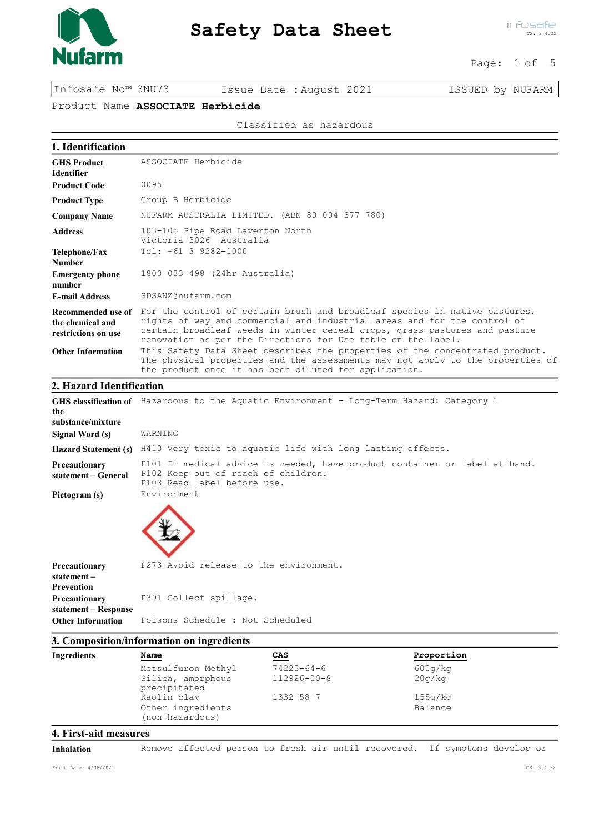

infosafe CS: 3.4.22

Page: 1 of 5

Infosafe No™ 3NU73 Issue Date :August 2021 ISSUED by NUFARM

# Product Name ASSOCIATE Herbicide

Classified as hazardous

| 1. Identification                                             |                                                                                                                                                                                                                                                                                                      |
|---------------------------------------------------------------|------------------------------------------------------------------------------------------------------------------------------------------------------------------------------------------------------------------------------------------------------------------------------------------------------|
| <b>GHS Product</b><br><b>Identifier</b>                       | ASSOCIATE Herbicide                                                                                                                                                                                                                                                                                  |
| <b>Product Code</b>                                           | 0095                                                                                                                                                                                                                                                                                                 |
| <b>Product Type</b>                                           | Group B Herbicide                                                                                                                                                                                                                                                                                    |
| <b>Company Name</b>                                           | NUFARM AUSTRALIA LIMITED. (ABN 80 004 377 780)                                                                                                                                                                                                                                                       |
| <b>Address</b>                                                | 103-105 Pipe Road Laverton North<br>Victoria 3026 Australia                                                                                                                                                                                                                                          |
| <b>Telephone/Fax</b><br><b>Number</b>                         | Tel: +61 3 9282-1000                                                                                                                                                                                                                                                                                 |
| <b>Emergency phone</b><br>number                              | 1800 033 498 (24hr Australia)                                                                                                                                                                                                                                                                        |
| <b>E-mail Address</b>                                         | SDSANZ@nufarm.com                                                                                                                                                                                                                                                                                    |
| Recommended use of<br>the chemical and<br>restrictions on use | For the control of certain brush and broadleaf species in native pastures,<br>rights of way and commercial and industrial areas and for the control of<br>certain broadleaf weeds in winter cereal crops, grass pastures and pasture<br>renovation as per the Directions for Use table on the label. |
| <b>Other Information</b>                                      | This Safety Data Sheet describes the properties of the concentrated product.<br>The physical properties and the assessments may not apply to the properties of<br>the product once it has been diluted for application.                                                                              |
| 2. Hazard Identification                                      |                                                                                                                                                                                                                                                                                                      |
| the<br>substance/mixture                                      | GHS classification of Hazardous to the Aquatic Environment - Long-Term Hazard: Category 1                                                                                                                                                                                                            |
| <b>Signal Word (s)</b>                                        | WARNING                                                                                                                                                                                                                                                                                              |
| <b>Hazard Statement (s)</b>                                   | H410 Very toxic to aquatic life with long lasting effects.                                                                                                                                                                                                                                           |
| Precautionary<br>statement - General                          | P101 If medical advice is needed, have product container or label at hand.<br>P102 Keep out of reach of children.<br>P103 Read label before use.                                                                                                                                                     |
| Pictogram (s)                                                 | Environment                                                                                                                                                                                                                                                                                          |
| <b>Precautionary</b><br>statement-<br><b>Prevention</b>       | P273 Avoid release to the environment.                                                                                                                                                                                                                                                               |
| <b>Precautionary</b>                                          | P391 Collect spillage.                                                                                                                                                                                                                                                                               |

#### 3. Composition/information on ingredients

Other Information Poisons Schedule : Not Scheduled

| Ingredients | <u>Name</u>                                         | CAS               | Proportion         |  |
|-------------|-----------------------------------------------------|-------------------|--------------------|--|
|             | Metsulfuron Methyl                                  | $74223 - 64 - 6$  | 600q/kg            |  |
|             | Silica, amorphous<br>precipitated                   | $112926 - 00 - 8$ | 20q/kq             |  |
|             | Kaolin clay<br>Other ingredients<br>(non-hazardous) | $1332 - 58 - 7$   | 155q/kg<br>Balance |  |

# 4. First-aid measures

statement – Response

Inhalation Remove affected person to fresh air until recovered. If symptoms develop or

Print Date: 4/08/2021 CS: 3.4.22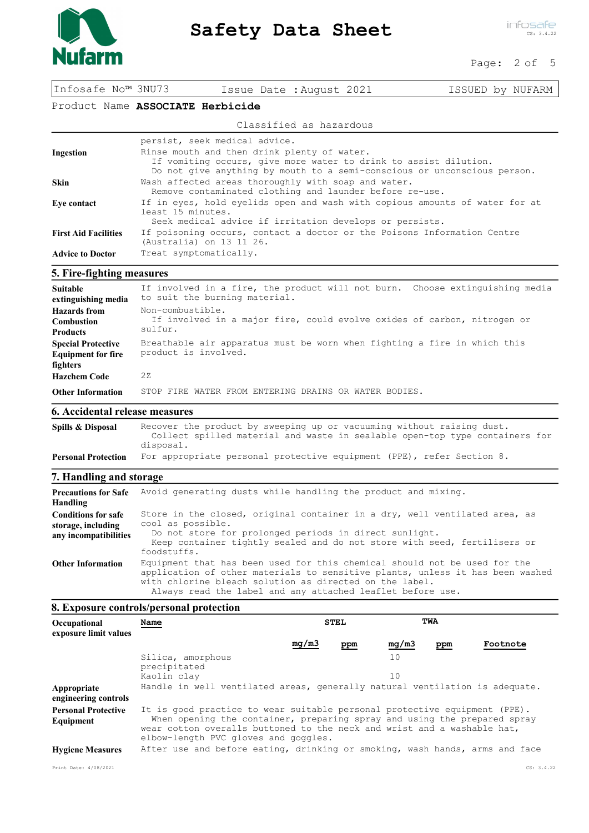

infosafe CS: 3.4.22

#### Page: 2 of 5

| Infosafe No™ 3NU73 | Issue Date : August 2021 | ISSUED by NUFARM |
|--------------------|--------------------------|------------------|
|--------------------|--------------------------|------------------|

## Product Name ASSOCIATE Herbicide

#### Classified as hazardous

|                             | persist, seek medical advice.                                                                                                                                                               |
|-----------------------------|---------------------------------------------------------------------------------------------------------------------------------------------------------------------------------------------|
| Ingestion                   | Rinse mouth and then drink plenty of water.<br>If vomiting occurs, give more water to drink to assist dilution.<br>Do not give anything by mouth to a semi-conscious or unconscious person. |
| <b>Skin</b>                 | Wash affected areas thoroughly with soap and water.<br>Remove contaminated clothing and launder before re-use.                                                                              |
| Eve contact                 | If in eyes, hold eyelids open and wash with copious amounts of water for at<br>least 15 minutes.<br>Seek medical advice if irritation develops or persists.                                 |
| <b>First Aid Facilities</b> | If poisoning occurs, contact a doctor or the Poisons Information Centre<br>(Australia) on 13 11 26.                                                                                         |
| <b>Advice to Doctor</b>     | Treat symptomatically.                                                                                                                                                                      |

## 5. Fire-fighting measures

| Suitable<br>extinguishing media                                    | If involved in a fire, the product will not burn. Choose extinguishing media<br>to suit the burning material. |
|--------------------------------------------------------------------|---------------------------------------------------------------------------------------------------------------|
| Hazards from<br><b>Combustion</b><br><b>Products</b>               | Non-combustible.<br>If involved in a major fire, could evolve oxides of carbon, nitrogen or<br>sulfur.        |
| <b>Special Protective</b><br><b>Equipment for fire</b><br>fighters | Breathable air apparatus must be worn when fighting a fire in which this<br>product is involved.              |
| <b>Hazchem Code</b>                                                | 22                                                                                                            |
| <b>Other Information</b>                                           | STOP FIRE WATER FROM ENTERING DRAINS OR WATER BODIES.                                                         |

## 6. Accidental release measures

| Spills & Disposal          | Recover the product by sweeping up or vacuuming without raising dust.                    |  |  |  |
|----------------------------|------------------------------------------------------------------------------------------|--|--|--|
|                            | Collect spilled material and waste in sealable open-top type containers for<br>disposal. |  |  |  |
| <b>Personal Protection</b> | For appropriate personal protective equipment (PPE), refer Section 8.                    |  |  |  |

## 7. Handling and storage

| <b>Precautions for Safe</b><br>Handling                                   | Avoid generating dusts while handling the product and mixing.                                                                                                                                                                                                                       |
|---------------------------------------------------------------------------|-------------------------------------------------------------------------------------------------------------------------------------------------------------------------------------------------------------------------------------------------------------------------------------|
| <b>Conditions for safe</b><br>storage, including<br>any incompatibilities | Store in the closed, original container in a dry, well ventilated area, as<br>cool as possible.<br>Do not store for prolonged periods in direct sunlight.<br>Keep container tightly sealed and do not store with seed, fertilisers or<br>foodstuffs.                                |
| <b>Other Information</b>                                                  | Equipment that has been used for this chemical should not be used for the<br>application of other materials to sensitive plants, unless it has been washed<br>with chlorine bleach solution as directed on the label.<br>Always read the label and any attached leaflet before use. |

## 8. Exposure controls/personal protection

| Occupational<br>exposure limit values   | Name                                                                                                                                                                                                                                                                     | <b>STEL</b> |     |       | TWA |          |
|-----------------------------------------|--------------------------------------------------------------------------------------------------------------------------------------------------------------------------------------------------------------------------------------------------------------------------|-------------|-----|-------|-----|----------|
|                                         |                                                                                                                                                                                                                                                                          | mq/m3       | ppm | mg/m3 | ppm | Footnote |
|                                         | Silica, amorphous<br>precipitated                                                                                                                                                                                                                                        |             |     | 10    |     |          |
|                                         | Kaolin clay                                                                                                                                                                                                                                                              |             |     | 10    |     |          |
| Appropriate<br>engineering controls     | Handle in well ventilated areas, generally natural ventilation is adequate.                                                                                                                                                                                              |             |     |       |     |          |
| <b>Personal Protective</b><br>Equipment | It is good practice to wear suitable personal protective equipment (PPE).<br>When opening the container, preparing spray and using the prepared spray<br>wear cotton overalls buttoned to the neck and wrist and a washable hat,<br>elbow-length PVC gloves and goggles. |             |     |       |     |          |
| <b>Hygiene Measures</b>                 | After use and before eating, drinking or smoking, wash hands, arms and face                                                                                                                                                                                              |             |     |       |     |          |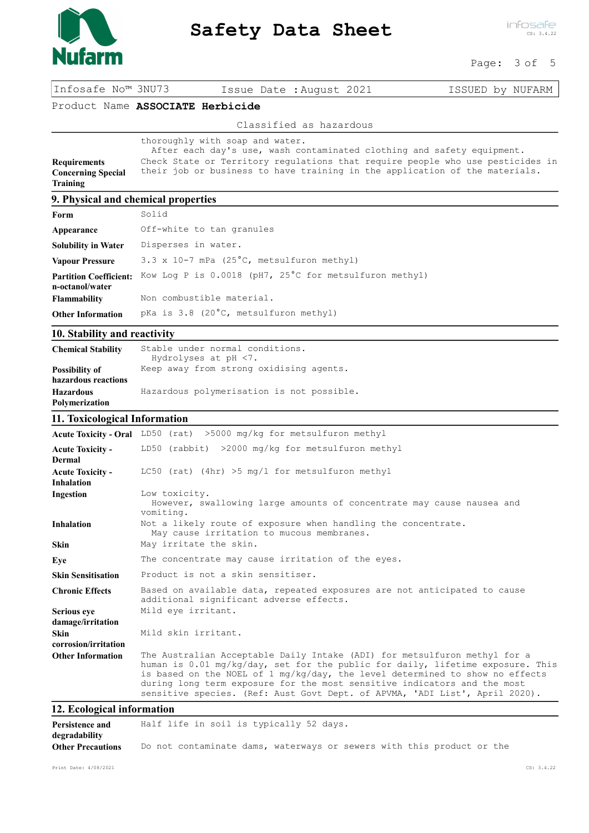

infosafe CS: 3.4.22

Page: 3 of 5

Infosafe No™ 3NU73 Issue Date :August 2021 ISSUED by NUFARM

Product Name ASSOCIATE Herbicide

Classified as hazardous

|                           | thoroughly with soap and water.                                                |
|---------------------------|--------------------------------------------------------------------------------|
|                           | After each day's use, wash contaminated clothing and safety equipment.         |
| <b>Requirements</b>       | Check State or Territory regulations that require people who use pesticides in |
| <b>Concerning Special</b> | their job or business to have training in the application of the materials.    |
| Training                  |                                                                                |

## 9. Physical and chemical properties

| Form                                             | Solid                                                  |
|--------------------------------------------------|--------------------------------------------------------|
| Appearance                                       | Off-white to tan granules                              |
| <b>Solubility in Water</b>                       | Disperses in water.                                    |
| <b>Vapour Pressure</b>                           | 3.3 x 10-7 mPa $(25^{\circ}C,$ metsulfuron methyl)     |
| <b>Partition Coefficient:</b><br>n-octanol/water | Kow Log P is 0.0018 (pH7, 25°C for metsulfuron methyl) |
| <b>Flammability</b>                              | Non combustible material.                              |
| <b>Other Information</b>                         | pKa is 3.8 (20°C, metsulfuron methyl)                  |

# 10. Stability and reactivity

| <b>Chemical Stability</b>                    | Stable under normal conditions.<br>Hydrolyses at pH <7. |
|----------------------------------------------|---------------------------------------------------------|
| <b>Possibility of</b><br>hazardous reactions | Keep away from strong oxidising agents.                 |
| <b>Hazardous</b><br><b>Polymerization</b>    | Hazardous polymerisation is not possible.               |

## 11. Toxicological Information

|                                              | Acute Toxicity - Oral LD50 (rat) >5000 mg/kg for metsulfuron methyl                                                                                                                                                                                                                                                                                                                                    |  |
|----------------------------------------------|--------------------------------------------------------------------------------------------------------------------------------------------------------------------------------------------------------------------------------------------------------------------------------------------------------------------------------------------------------------------------------------------------------|--|
| <b>Acute Toxicity -</b><br>Dermal            | LD50 (rabbit) $>2000$ mg/kg for metsulfuron methyl                                                                                                                                                                                                                                                                                                                                                     |  |
| <b>Acute Toxicity -</b><br><b>Inhalation</b> | LC50 (rat) (4hr) >5 $mq/l$ for metsulfuron methyl                                                                                                                                                                                                                                                                                                                                                      |  |
| Ingestion                                    | Low toxicity.<br>However, swallowing large amounts of concentrate may cause nausea and<br>vomiting.                                                                                                                                                                                                                                                                                                    |  |
| <b>Inhalation</b>                            | Not a likely route of exposure when handling the concentrate.<br>May cause irritation to mucous membranes.                                                                                                                                                                                                                                                                                             |  |
| <b>Skin</b>                                  | May irritate the skin.                                                                                                                                                                                                                                                                                                                                                                                 |  |
| Eye                                          | The concentrate may cause irritation of the eyes.                                                                                                                                                                                                                                                                                                                                                      |  |
| <b>Skin Sensitisation</b>                    | Product is not a skin sensitiser.                                                                                                                                                                                                                                                                                                                                                                      |  |
| <b>Chronic Effects</b>                       | Based on available data, repeated exposures are not anticipated to cause<br>additional significant adverse effects.                                                                                                                                                                                                                                                                                    |  |
| Serious eye<br>damage/irritation             | Mild eye irritant.                                                                                                                                                                                                                                                                                                                                                                                     |  |
| <b>Skin</b><br>corrosion/irritation          | Mild skin irritant.                                                                                                                                                                                                                                                                                                                                                                                    |  |
| <b>Other Information</b>                     | The Australian Acceptable Daily Intake (ADI) for metsulfuron methyl for a<br>human is 0.01 mg/kg/day, set for the public for daily, lifetime exposure. This<br>is based on the NOEL of 1 mg/kg/day, the level determined to show no effects<br>during long term exposure for the most sensitive indicators and the most<br>sensitive species. (Ref: Aust Govt Dept. of APVMA, 'ADI List', April 2020). |  |

# 12. Ecological information

| Persistence and          | Half life in soil is typically 52 days.                               |  |
|--------------------------|-----------------------------------------------------------------------|--|
| degradability            |                                                                       |  |
| <b>Other Precautions</b> | Do not contaminate dams, waterways or sewers with this product or the |  |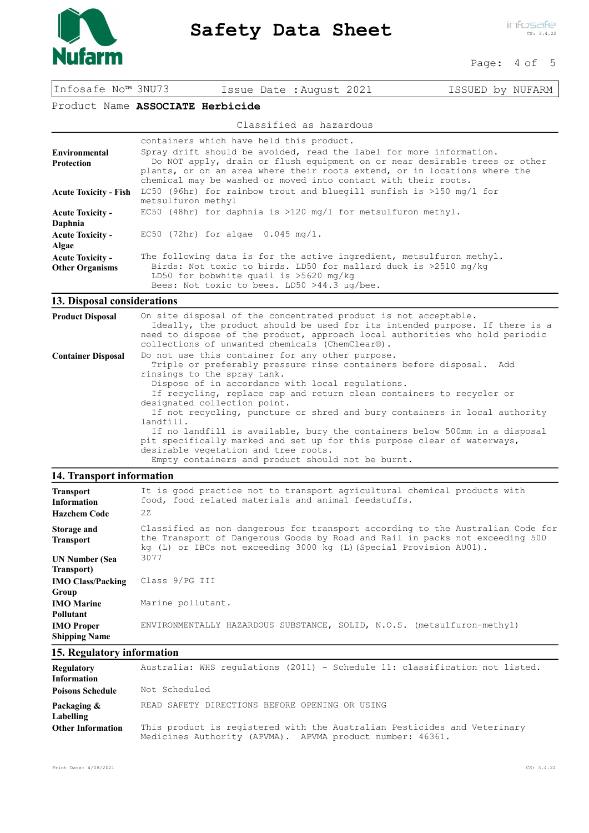

infosafe CS: 3.4.22

#### Page: 4 of 5

Infosafe No™ 3NU73 Issue Date :August 2021 ISSUED by NUFARM

Product Name ASSOCIATE Herbicide

#### Classified as hazardous

|                              | containers which have held this product.                                                                                                                     |
|------------------------------|--------------------------------------------------------------------------------------------------------------------------------------------------------------|
| Environmental                | Spray drift should be avoided, read the label for more information.                                                                                          |
| Protection                   | Do NOT apply, drain or flush equipment on or near desirable trees or other                                                                                   |
|                              | plants, or on an area where their roots extend, or in locations where the                                                                                    |
|                              | chemical may be washed or moved into contact with their roots.                                                                                               |
| <b>Acute Toxicity - Fish</b> | LC50 (96hr) for rainbow trout and bluegill sunfish is $>150$ mg/l for                                                                                        |
|                              | metsulfuron methyl                                                                                                                                           |
| <b>Acute Toxicity -</b>      | EC50 (48hr) for daphnia is >120 mg/l for metsulfuron methyl.                                                                                                 |
| Daphnia                      |                                                                                                                                                              |
| <b>Acute Toxicity -</b>      | $EC50$ (72hr) for algae $0.045$ mg/l.                                                                                                                        |
| Algae                        |                                                                                                                                                              |
| <b>Acute Toxicity -</b>      | The following data is for the active ingredient, metsulfuron methyl.                                                                                         |
| <b>Other Organisms</b>       | Birds: Not toxic to birds. LD50 for mallard duck is $>2510$ mg/kg<br>LD50 for bobwhite quail is $>5620$ mg/kg<br>Bees: Not toxic to bees. LD50 >44.3 µq/bee. |
|                              |                                                                                                                                                              |

# 13. Disposal considerations

| <b>Product Disposal</b>   | On site disposal of the concentrated product is not acceptable.<br>Ideally, the product should be used for its intended purpose. If there is a<br>need to dispose of the product, approach local authorities who hold periodic<br>collections of unwanted chemicals (ChemClear®).                                                                                                                                                                                                                                                                                                                                                                                   |
|---------------------------|---------------------------------------------------------------------------------------------------------------------------------------------------------------------------------------------------------------------------------------------------------------------------------------------------------------------------------------------------------------------------------------------------------------------------------------------------------------------------------------------------------------------------------------------------------------------------------------------------------------------------------------------------------------------|
| <b>Container Disposal</b> | Do not use this container for any other purpose.<br>Triple or preferably pressure rinse containers before disposal. Add<br>rinsings to the spray tank.<br>Dispose of in accordance with local requlations.<br>If recycling, replace cap and return clean containers to recycler or<br>designated collection point.<br>If not recycling, puncture or shred and bury containers in local authority<br>landfill.<br>If no landfill is available, bury the containers below 500mm in a disposal<br>pit specifically marked and set up for this purpose clear of waterways,<br>desirable vegetation and tree roots.<br>Empty containers and product should not be burnt. |

# 14. Transport information

| <b>Transport</b><br><b>Information</b><br><b>Hazchem Code</b> | It is good practice not to transport agricultural chemical products with<br>food, food related materials and animal feedstuffs.<br>2z                                                                                                |
|---------------------------------------------------------------|--------------------------------------------------------------------------------------------------------------------------------------------------------------------------------------------------------------------------------------|
| Storage and<br><b>Transport</b>                               | Classified as non dangerous for transport according to the Australian Code for<br>the Transport of Dangerous Goods by Road and Rail in packs not exceeding 500<br>kg (L) or IBCs not exceeding 3000 kg (L) (Special Provision AU01). |
| <b>UN Number (Sea</b>                                         | 3077                                                                                                                                                                                                                                 |
| Transport)                                                    |                                                                                                                                                                                                                                      |
| <b>IMO Class/Packing</b><br>Group                             | Class 9/PG III                                                                                                                                                                                                                       |
| <b>IMO</b> Marine                                             | Marine pollutant.                                                                                                                                                                                                                    |
| <b>Pollutant</b>                                              |                                                                                                                                                                                                                                      |
| <b>IMO</b> Proper<br><b>Shipping Name</b>                     | ENVIRONMENTALLY HAZARDOUS SUBSTANCE, SOLID, N.O.S. (metsulfuron-methyl)                                                                                                                                                              |

# 15. Regulatory information

| Regulatory<br><b>Information</b> | Australia: WHS requlations (2011) - Schedule 11: classification not listed.                                                           |
|----------------------------------|---------------------------------------------------------------------------------------------------------------------------------------|
| <b>Poisons Schedule</b>          | Not Scheduled                                                                                                                         |
| Packaging &<br>Labelling         | READ SAFETY DIRECTIONS BEFORE OPENING OR USING                                                                                        |
| <b>Other Information</b>         | This product is registered with the Australian Pesticides and Veterinary<br>Medicines Authority (APVMA). APVMA product number: 46361. |